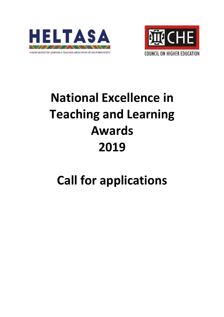



# **National Excellence in Teaching and Learning Awards 2019**

# **Call for applications**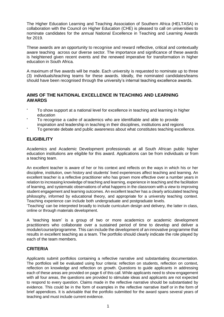The Higher Education Learning and Teaching Association of Southern Africa (HELTASA) in collaboration with the Council on Higher Education (CHE) is pleased to call on universities to nominate candidates for the annual National Excellence in Teaching and Learning Awards for 2019.

These awards are an opportunity to recognise and reward reflective, critical and contextually aware teaching across our diverse sector. The importance and significance of these awards is heightened given recent events and the renewed imperative for transformation in higher education in South Africa.

A maximum of five awards will be made. Each university is requested to nominate up to three (3) individuals/teaching teams for these awards. Ideally, the nominated candidates/teams should have been recognised through the university's internal teaching excellence awards.

# **AIMS OF THE NATIONAL EXCELLENCE IN TEACHING AND LEARNING AWARDS**

- To show support at a national level for excellence in teaching and learning in higher education
- To recognise a cadre of academics who are identifiable and able to provide inspiration and leadership in teaching in their disciplines, institutions and regions
- To generate debate and public awareness about what constitutes teaching excellence.

# **ELIGIBILITY**

Academics and Academic Development professionals at all South African public higher education institutions are eligible for this award. Applications can be from individuals or from a teaching team.

An excellent teacher is aware of her or his context and reflects on the ways in which his or her discipline, institution, own history and students' lived experiences affect teaching and learning. An excellent teacher is a reflective practitioner who has grown more effective over a number years in relation to increasing knowledge of teaching and learning, experience in teaching and the facilitation of learning, and systematic observations of what happens in the classroom with a view to improving student engagement and learning outcomes. An excellent teacher has a clearly articulated teaching philosophy, informed by educational theory, and appropriate for a university teaching context. Teaching experience can include both undergraduate and postgraduate levels.

'Teaching' can be interpreted broadly to include curriculum design and delivery, the latter in class, online or through materials development.

A 'teaching team' is a group of two or more academics or academic development practitioners who collaborate over a sustained period of time to develop and deliver a module/course/programme. This can include the development of an innovative programme that results in excellent teaching as a team. The portfolio should clearly indicate the role played by each of the team members.

# **CRITERIA**

Applicants submit portfolios containing a reflective narrative and substantiating documentation. The portfolios will be evaluated using four criteria: reflection on students, reflection on context, reflection on knowledge and reflection on growth. Questions to guide applicants in addressing each of these areas are provided on page 6 of this call. While applicants need to show engagement with all four areas, the questions are provided to stimulate ideas and applicants are not expected to respond to every question. Claims made in the reflective narrative should be substantiated by evidence. This could be in the form of examples in the reflective narrative itself or in the form of brief appendices. It is advisable that the portfolio submitted for the award spans several years of teaching and must include current evidence.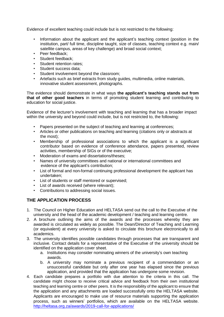Evidence of excellent teaching could include but is not restricted to the following:

- Information about the applicant and the applicant's teaching context (position in the institution, part/ full time, discipline taught, size of classes, teaching context e.g. main/ satellite campus, areas of key challenge) and broad social context;
- Peer feedback;
- Student feedback;
- Student retention rates;
- Student success data;
- Student involvement beyond the classroom;
- Artefacts such as brief extracts from study guides, multimedia, online materials, innovative student assessment, photographs.

The evidence should demonstrate in what ways **the applicant's teaching stands out from that of other good teachers** in terms of promoting student learning and contributing to education for social justice.

Evidence of the lecturer's involvement with teaching and learning that has a broader impact within the university and beyond could include, but is not restricted to, the following:

- Papers presented on the subject of teaching and learning at conferences;
- Articles or other publications on teaching and learning (citations only or abstracts at the most);
- Membership of professional associations to which the applicant is a significant contributor based on evidence of conference attendance, papers presented, review activities, membership of SIGs or of the executive;
- Moderation of exams and dissertations/theses;
- Names of university committees and national or international committees and evidence of the applicant's contribution;
- List of formal and non-formal continuing professional development the applicant has undertaken;
- List of students or staff mentored or supervised;
- List of awards received (where relevant);
- Contributions to addressing social issues.

# **THE APPLICATION PROCESS**

- 1. The Council on Higher Education and HELTASA send out the call to the Executive of the university and the head of the academic development / teaching and learning centre.
- 2. A brochure outlining the aims of the awards and the processes whereby they are awarded is circulated as widely as possible. The Dean/Director of Teaching and Learning (or equivalent) at every university is asked to circulate this brochure electronically to all academics.
- 3. The university identifies possible candidates through processes that are transparent and inclusive. Contact details for a representative of the Executive of the university should be identified on the application cover sheet.
	- a. Institutions may consider nominating winners of the university's own teaching awards.
	- b. A university may nominate a previous recipient of a commendation or an unsuccessful candidate but only after one year has elapsed since the previous application, and provided that the application has undergone some revision.
- 4. Each candidate prepares a portfolio with due attention to the criteria in this call. The candidate might choose to receive critical advice and feedback from their own institutional teaching and learning centre or other peers. It is the responsibility of the applicant to ensure that the application and any attachments are loaded successfully onto the HELTASA website. Applicants are encouraged to make use of resource materials supporting the application process, such as winners' portfolios, which are available on the HELTASA website. <http://heltasa.org.za/awards/2019-call-for-applications/>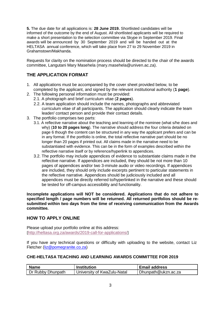**5.** The due date for all applications is: **28 June 2019.** Shortlisted candidates will be informed of the outcome by the end of August. All shortlisted applicants will be required to make a short presentation to the selection committee via Skype in September 2019. Final awards will be announced by 30 September 2019 and will be handed out at the HELTASA annual conference, which will take place from 27 to 29 November 2019 in Grahamstown/Makhanda.

Requests for clarity on the nomination process should be directed to the chair of the awards committee, Langutani Mary Masehela (mary.masehela@univen.ac.za).

# **THE APPLICATION FORMAT**

- 1. All applications must be accompanied by the cover sheet provided below, to be completed by the applicant, and signed by the relevant institutional authority (**1 page**).
- 2. The following personal information must be provided:
	- 2.1. A photograph and brief curriculum vitae (**2 pages**).
	- 2.2. A team application should include the names, photographs and abbreviated curriculum vitae of all participants. The application should clearly indicate the team leader/ contact person and provide their contact details.
- 3. The portfolio comprises two parts:
	- 3.1. A reflective narrative about the teaching and learning of the nominee (what s/he does and why) (**10 to 20 pages long**). The narrative should address the four criteria detailed on page 6 though the content can be structured in any way the applicant prefers and can be in any format. If the portfolio is online, the total reflective narrative part should be no longer than 20 pages if printed out. All claims made in the narrative need to be substantiated with evidence. This can be in the form of examples described within the reflective narrative itself or by reference/hyperlink to appendices.
	- 3.2. The portfolio may include appendices of evidence to substantiate claims made in the reflective narrative. If appendices are included, they should be not more than 10 pages of appendices and/or two 3-minute audio or video recordings. If appendices are included, they should only include excerpts pertinent to particular statements in the reflective narrative. Appendices should be judiciously included and all appendices must be directly referred to/hyperlinked in the narrative and these should be tested for off-campus accessibility and functionality.

**Incomplete applications will NOT be considered. Applications that do not adhere to specified length / page numbers will be returned. All returned portfolios should be resubmitted within two days from the time of receiving communication from the Awards committee.**

#### **HOW TO APPLY ONLINE**

Please upload your portfolio online at this address: [\[](http://heltasa.org.za/awards/2018-call-for-applications/)http://heltasa.org.za/awards/2019-call-for-applications/[\]](http://heltasa.org.za/awards/2018-call-for-applications/)

If you have any technical questions or difficulty with uploading to the website, contact Liz Fletcher [\(liz@pomegranite.co.za\)](mailto:liz@pomegranite.co.za)

#### **CHE-HELTASA TEACHING AND LEARNING AWARDS COMMITTEE FOR 2019**

| <b>Name</b>       | <b>Institution</b>          | l Email address     |
|-------------------|-----------------------------|---------------------|
| Dr Rubby Dhunpath | University of KwaZulu-Natal | Dhunpath@ukzn.ac.za |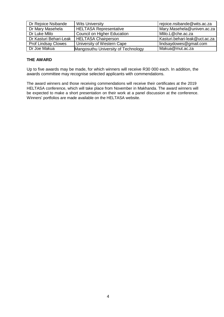| Dr Rejoice Nsibande        | <b>Wits University</b>              | rejoice.nsibande@wits.ac.za   |
|----------------------------|-------------------------------------|-------------------------------|
| Dr Mary Masehela           | <b>HELTASA Representative</b>       | Mary.Masehela@univen.ac.za    |
| Dr Luke Mlilo              | <b>Council on Higher Education</b>  | Mlilo.L@che.ac.za             |
| Dr Kasturi Behari-Leak     | HELTASA Chairperson                 | Kasturi.behari-leak@uct.ac.za |
| <b>Prof Lindsay Clowes</b> | University of Western Cape          | lindsaydowes@gmail.com        |
| Dr Joe Makua               | Mangosuthu University of Technology | Makua@mut.ac.za               |

## **THE AWARD**

Up to five awards may be made, for which winners will receive R30 000 each. In addition, the awards committee may recognise selected applicants with commendations.

The award winners and those receiving commendations will receive their certificates at the 2019 HELTASA conference, which will take place from November in Makhanda. The award winners will be expected to make a short presentation on their work at a panel discussion at the conference. Winners' portfolios are made available on the HELTASA website.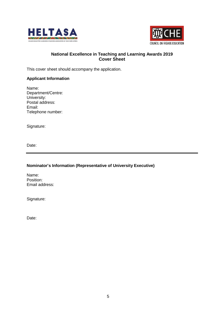



# **National Excellence in Teaching and Learning Awards 2019 Cover Sheet**

This cover sheet should accompany the application.

#### **Applicant Information**

Name: Department/Centre: University: Postal address: Email: Telephone number:

Signature:

Date:

#### **Nominator's Information (Representative of University Executive)**

Name: Position: Email address:

Signature:

Date: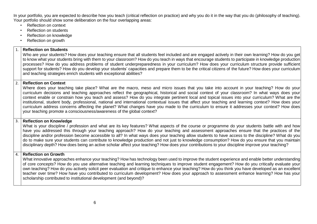In your portfolio, you are expected to describe how you teach (critical reflection on practice) and why you do it in the way that you do (philosophy of teaching). Your portfolio should show some deliberation on the four overlapping areas:

- Reflection on context
- Reflection on students
- Reflection on knowledge
- Reflection on growth

| $\mathbf{1}$ .                                                                                                                                                                                                                                                                                                                                                                                                                                                                                                                                                                                                                                                                                                                                                                                                                                            | <b>Reflection on Students</b><br>Who are your students? How does your teaching ensure that all students feel included and are engaged actively in their own learning? How do you get<br>to know what your students bring with them to your classroom? How do you teach in ways that encourage students to participate in knowledge production<br>processes? How do you address problems of student underpreparedness in your curriculum? How does your curriculum structure provide sufficient<br>support for students? How do you develop your students' capacities and prepare them to be the critical citizens of the future? How does your curriculum<br>and teaching strategies enrich students with exceptional abilities?                                                            |
|-----------------------------------------------------------------------------------------------------------------------------------------------------------------------------------------------------------------------------------------------------------------------------------------------------------------------------------------------------------------------------------------------------------------------------------------------------------------------------------------------------------------------------------------------------------------------------------------------------------------------------------------------------------------------------------------------------------------------------------------------------------------------------------------------------------------------------------------------------------|---------------------------------------------------------------------------------------------------------------------------------------------------------------------------------------------------------------------------------------------------------------------------------------------------------------------------------------------------------------------------------------------------------------------------------------------------------------------------------------------------------------------------------------------------------------------------------------------------------------------------------------------------------------------------------------------------------------------------------------------------------------------------------------------|
| Reflection on Context<br>Where does your teaching take place? What are the macro, meso and micro issues that you take into account in your teaching? How do your<br>curriculum decisions and teaching approaches reflect the geographical, historical and social context of your classroom? In what ways does your<br>context enable or constrain how you teach and assess? How do you integrate pertinent local and topical issues into your curriculum? What are the<br>institutional, student body, professional, national and international contextual issues that affect your teaching and learning context? How does your<br>curriculum address concerns affecting the planet? What changes have you made to the curriculum to ensure it addresses your context? How does<br>your teaching promote a consciousness/awareness of the global context? |                                                                                                                                                                                                                                                                                                                                                                                                                                                                                                                                                                                                                                                                                                                                                                                             |
|                                                                                                                                                                                                                                                                                                                                                                                                                                                                                                                                                                                                                                                                                                                                                                                                                                                           | <b>Reflection on Knowledge</b><br>What is your discipline / profession and what are its key features? What aspects of the course or programme do your students battle with and how<br>have you addressed this through your teaching approach? How do your teaching and assessment approaches ensure that the practices of the<br>discipline and/or profession become accessible to all? In what ways does your teaching allow students to have access to the discipline? What do you<br>do to make sure your students can contribute to knowledge production and not just to knowledge consumption? How do you ensure that you maintain<br>disciplinary depth? How does being an active scholar affect your teaching? How does your contributions to your discipline improve your teaching? |
| 4.                                                                                                                                                                                                                                                                                                                                                                                                                                                                                                                                                                                                                                                                                                                                                                                                                                                        | <b>Reflection on Growth</b><br>What innovative approaches enhance your teaching? How has technology been used to improve the student experience and enable better understanding<br>of core concepts? How do you use alternative teaching and learning techniques to improve student engagement? How do you critically evaluate your<br>own teaching? How do you actively solicit peer evaluation and critique to enhance your teaching? How do you think you have developed as an excellent<br>teacher over time? How have you contributed to curriculum development? How does your approach to assessment enhance learning? How has your                                                                                                                                                   |

scholarship contributed to institutional development (and beyond)?